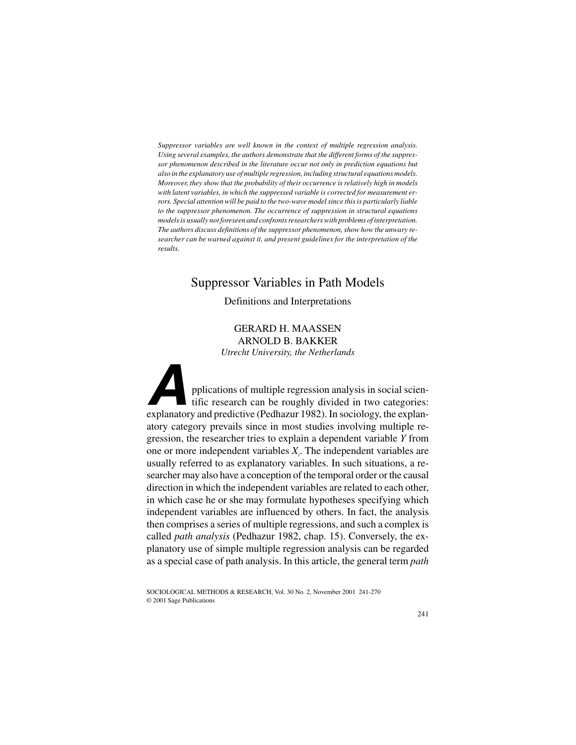*Suppressor variables are well known in the context of multiple regression analysis. Using several examples, the authors demonstrate that the different forms of the suppressor phenomenon described in the literature occur not only in prediction equations but also in the explanatory use of multiple regression, including structural equations models. Moreover, they show that the probability of their occurrence is relatively high in models with latent variables, in which the suppressed variable is corrected for measurement errors. Special attention will be paid to the two-wave model since this is particularly liable to the suppressor phenomenon. The occurrence of suppression in structural equations models is usually not foreseen and confronts researchers with problems of interpretation. The authors discuss definitions of the suppressor phenomenon, show how the unwary researcher can be warned against it, and present guidelines for the interpretation of the results.*

# Suppressor Variables in Path Models

## Definitions and Interpretations

GERARD H. MAASSEN ARNOLD B. BAKKER *Utrecht University, the Netherlands*

**A**pplications of multiple regression analysis in social scientific research can be roughly divided in two categories: explanatory and predictive (Pedhazur 1982). In sociology, the explanatory category prevails since in most studies involving multiple regression, the researcher tries to explain a dependent variable *Y* from one or more independent variables  $X_i$ . The independent variables are usually referred to as explanatory variables. In such situations, a researcher may also have a conception of the temporal order or the causal direction in which the independent variables are related to each other, in which case he or she may formulate hypotheses specifying which independent variables are influenced by others. In fact, the analysis then comprises a series of multiple regressions, and such a complex is called *path analysis* (Pedhazur 1982, chap. 15). Conversely, the explanatory use of simple multiple regression analysis can be regarded as a special case of path analysis. In this article, the general term *path*

SOCIOLOGICAL METHODS & RESEARCH, Vol. 30 No. 2, November 2001 241-270 © 2001 Sage Publications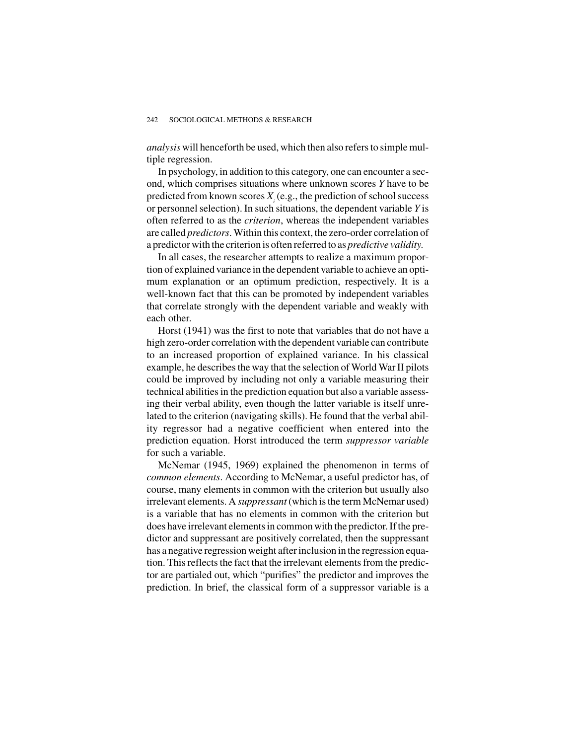*analysis* will henceforth be used, which then also refers to simple multiple regression.

In psychology, in addition to this category, one can encounter a second, which comprises situations where unknown scores *Y* have to be predicted from known scores  $X_i$  (e.g., the prediction of school success or personnel selection). In such situations, the dependent variable *Y* is often referred to as the *criterion*, whereas the independent variables are called *predictors*. Within this context, the zero-order correlation of a predictor with the criterion is often referred to as *predictive validity*.

In all cases, the researcher attempts to realize a maximum proportion of explained variance in the dependent variable to achieve an optimum explanation or an optimum prediction, respectively. It is a well-known fact that this can be promoted by independent variables that correlate strongly with the dependent variable and weakly with each other.

Horst (1941) was the first to note that variables that do not have a high zero-order correlation with the dependent variable can contribute to an increased proportion of explained variance. In his classical example, he describes the way that the selection of World War II pilots could be improved by including not only a variable measuring their technical abilities in the prediction equation but also a variable assessing their verbal ability, even though the latter variable is itself unrelated to the criterion (navigating skills). He found that the verbal ability regressor had a negative coefficient when entered into the prediction equation. Horst introduced the term *suppressor variable* for such a variable.

McNemar (1945, 1969) explained the phenomenon in terms of *common elements*. According to McNemar, a useful predictor has, of course, many elements in common with the criterion but usually also irrelevant elements. A *suppressant* (which is the term McNemar used) is a variable that has no elements in common with the criterion but does have irrelevant elements in common with the predictor. If the predictor and suppressant are positively correlated, then the suppressant has a negative regression weight after inclusion in the regression equation. This reflects the fact that the irrelevant elements from the predictor are partialed out, which "purifies" the predictor and improves the prediction. In brief, the classical form of a suppressor variable is a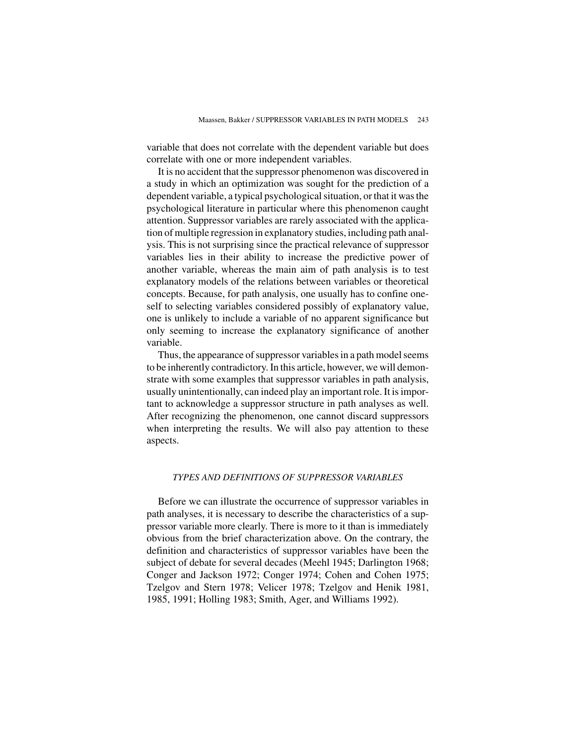variable that does not correlate with the dependent variable but does correlate with one or more independent variables.

It is no accident that the suppressor phenomenon was discovered in a study in which an optimization was sought for the prediction of a dependent variable, a typical psychological situation, or that it was the psychological literature in particular where this phenomenon caught attention. Suppressor variables are rarely associated with the application of multiple regression in explanatory studies, including path analysis. This is not surprising since the practical relevance of suppressor variables lies in their ability to increase the predictive power of another variable, whereas the main aim of path analysis is to test explanatory models of the relations between variables or theoretical concepts. Because, for path analysis, one usually has to confine oneself to selecting variables considered possibly of explanatory value, one is unlikely to include a variable of no apparent significance but only seeming to increase the explanatory significance of another variable.

Thus, the appearance of suppressor variables in a path model seems to be inherently contradictory. In this article, however, we will demonstrate with some examples that suppressor variables in path analysis, usually unintentionally, can indeed play an important role. It is important to acknowledge a suppressor structure in path analyses as well. After recognizing the phenomenon, one cannot discard suppressors when interpreting the results. We will also pay attention to these aspects.

## *TYPES AND DEFINITIONS OF SUPPRESSOR VARIABLES*

Before we can illustrate the occurrence of suppressor variables in path analyses, it is necessary to describe the characteristics of a suppressor variable more clearly. There is more to it than is immediately obvious from the brief characterization above. On the contrary, the definition and characteristics of suppressor variables have been the subject of debate for several decades (Meehl 1945; Darlington 1968; Conger and Jackson 1972; Conger 1974; Cohen and Cohen 1975; Tzelgov and Stern 1978; Velicer 1978; Tzelgov and Henik 1981, 1985, 1991; Holling 1983; Smith, Ager, and Williams 1992).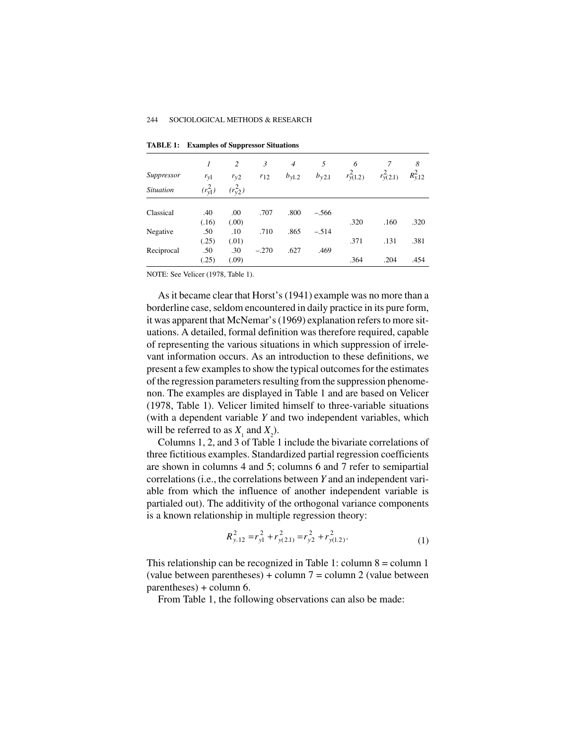| Suppressor       | 1<br>$r_{\rm y1}$ | 2<br>$r_{y2}$ | 3<br>$r_{12}$ | $\overline{4}$<br>$b_{\text{v1.2}}$ | 5<br>$b_{\text{y2.1}}$ | 6<br>$r_{v(1.2)}^2$ | $r_{y(2,1)}^2$ | 8<br>$R_{\nu,12}^2$ |
|------------------|-------------------|---------------|---------------|-------------------------------------|------------------------|---------------------|----------------|---------------------|
| <b>Situation</b> | $(r_{\rm v1}^2)$  | $(r_{v2}^2)$  |               |                                     |                        |                     |                |                     |
| Classical        | .40<br>(.16)      | .00<br>(.00)  | .707          | .800                                | $-.566$                | .320                | .160           | .320                |
| Negative         | .50<br>(.25)      | .10<br>(.01)  | .710          | .865                                | $-.514$                | .371                | .131           | .381                |
| Reciprocal       | .50<br>(.25)      | .30<br>(.09)  | $-.270$       | .627                                | .469                   | .364                | .204           | .454                |

**TABLE 1: Examples of Suppressor Situations**

NOTE: See Velicer (1978, Table 1).

As it became clear that Horst's (1941) example was no more than a borderline case, seldom encountered in daily practice in its pure form, it was apparent that McNemar's (1969) explanation refers to more situations. A detailed, formal definition was therefore required, capable of representing the various situations in which suppression of irrelevant information occurs. As an introduction to these definitions, we present a few examples to show the typical outcomes for the estimates of the regression parameters resulting from the suppression phenomenon. The examples are displayed in Table 1 and are based on Velicer (1978, Table 1). Velicer limited himself to three-variable situations (with a dependent variable *Y* and two independent variables, which will be referred to as  $X_1$  and  $X_2$ ).

Columns 1, 2, and 3 of Table 1 include the bivariate correlations of three fictitious examples. Standardized partial regression coefficients are shown in columns 4 and 5; columns 6 and 7 refer to semipartial correlations (i.e., the correlations between *Y* and an independent variable from which the influence of another independent variable is partialed out). The additivity of the orthogonal variance components is a known relationship in multiple regression theory:

$$
R_{y.12}^2 = r_{y1}^2 + r_{y(2.1)}^2 = r_{y2}^2 + r_{y(1.2)}^2.
$$
 (1)

This relationship can be recognized in Table 1: column 8 = column 1 (value between parentheses) + column  $7 = \text{column } 2$  (value between parentheses) + column 6.

From Table 1, the following observations can also be made: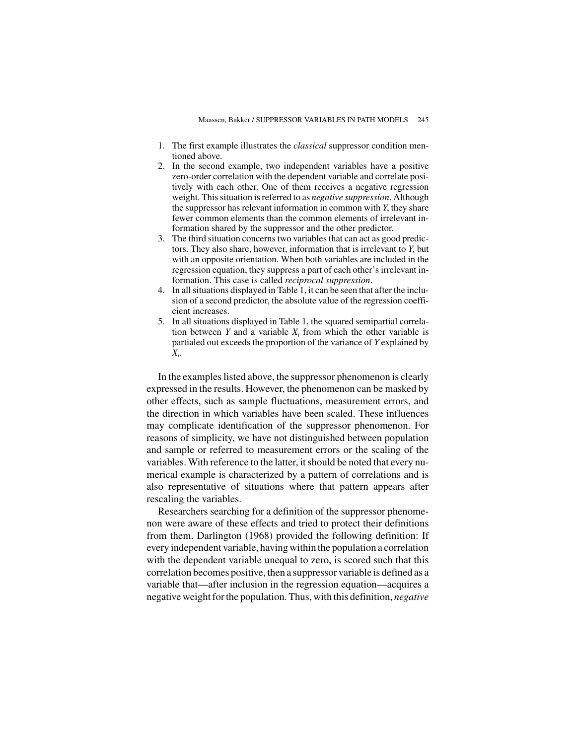- 1. The first example illustrates the *classical* suppressor condition mentioned above.
- 2. In the second example, two independent variables have a positive zero-order correlation with the dependent variable and correlate positively with each other. One of them receives a negative regression weight. This situation is referred to as *negative suppression*. Although the suppressor has relevant information in common with *Y*, they share fewer common elements than the common elements of irrelevant information shared by the suppressor and the other predictor.
- 3. The third situation concerns two variables that can act as good predictors. They also share, however, information that is irrelevant to *Y*, but with an opposite orientation. When both variables are included in the regression equation, they suppress a part of each other's irrelevant information. This case is called *reciprocal suppression*.
- 4. In all situations displayed in Table 1, it can be seen that after the inclusion of a second predictor, the absolute value of the regression coefficient increases.
- 5. In all situations displayed in Table 1, the squared semipartial correlation between  $Y$  and a variable  $X_i$  from which the other variable is partialed out exceeds the proportion of the variance of *Y* explained by *Xi* .

In the examples listed above, the suppressor phenomenon is clearly expressed in the results. However, the phenomenon can be masked by other effects, such as sample fluctuations, measurement errors, and the direction in which variables have been scaled. These influences may complicate identification of the suppressor phenomenon. For reasons of simplicity, we have not distinguished between population and sample or referred to measurement errors or the scaling of the variables. With reference to the latter, it should be noted that every numerical example is characterized by a pattern of correlations and is also representative of situations where that pattern appears after rescaling the variables.

Researchers searching for a definition of the suppressor phenomenon were aware of these effects and tried to protect their definitions from them. Darlington (1968) provided the following definition: If every independent variable, having within the population a correlation with the dependent variable unequal to zero, is scored such that this correlation becomes positive, then a suppressor variable is defined as a variable that—after inclusion in the regression equation—acquires a negative weight for the population. Thus, with this definition, *negative*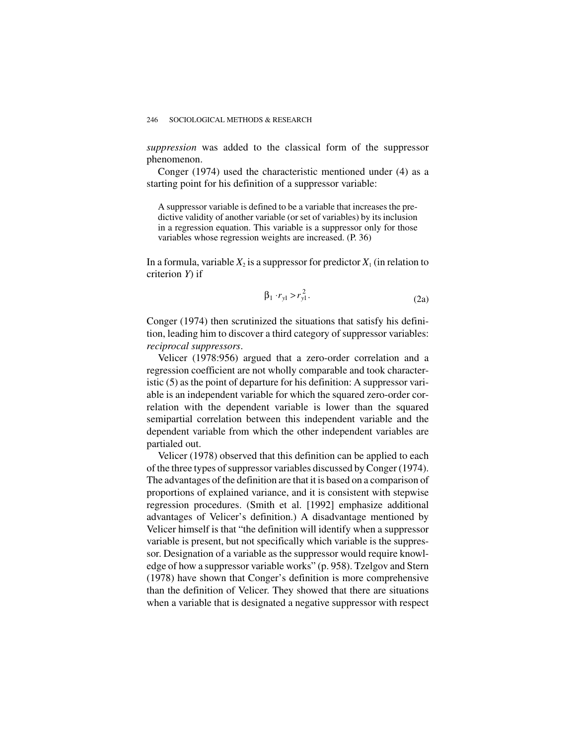*suppression* was added to the classical form of the suppressor phenomenon.

Conger (1974) used the characteristic mentioned under (4) as a starting point for his definition of a suppressor variable:

A suppressor variable is defined to be a variable that increases the predictive validity of another variable (or set of variables) by its inclusion in a regression equation. This variable is a suppressor only for those variables whose regression weights are increased. (P. 36)

In a formula, variable  $X_2$  is a suppressor for predictor  $X_1$  (in relation to criterion *Y*) if

$$
\beta_1 \cdot r_{y1} > r_{y1}^2. \tag{2a}
$$

Conger (1974) then scrutinized the situations that satisfy his definition, leading him to discover a third category of suppressor variables: *reciprocal suppressors*.

Velicer (1978:956) argued that a zero-order correlation and a regression coefficient are not wholly comparable and took characteristic (5) as the point of departure for his definition: A suppressor variable is an independent variable for which the squared zero-order correlation with the dependent variable is lower than the squared semipartial correlation between this independent variable and the dependent variable from which the other independent variables are partialed out.

Velicer (1978) observed that this definition can be applied to each of the three types of suppressor variables discussed by Conger (1974). The advantages of the definition are that it is based on a comparison of proportions of explained variance, and it is consistent with stepwise regression procedures. (Smith et al. [1992] emphasize additional advantages of Velicer's definition.) A disadvantage mentioned by Velicer himself is that "the definition will identify when a suppressor variable is present, but not specifically which variable is the suppressor. Designation of a variable as the suppressor would require knowledge of how a suppressor variable works" (p. 958). Tzelgov and Stern (1978) have shown that Conger's definition is more comprehensive than the definition of Velicer. They showed that there are situations when a variable that is designated a negative suppressor with respect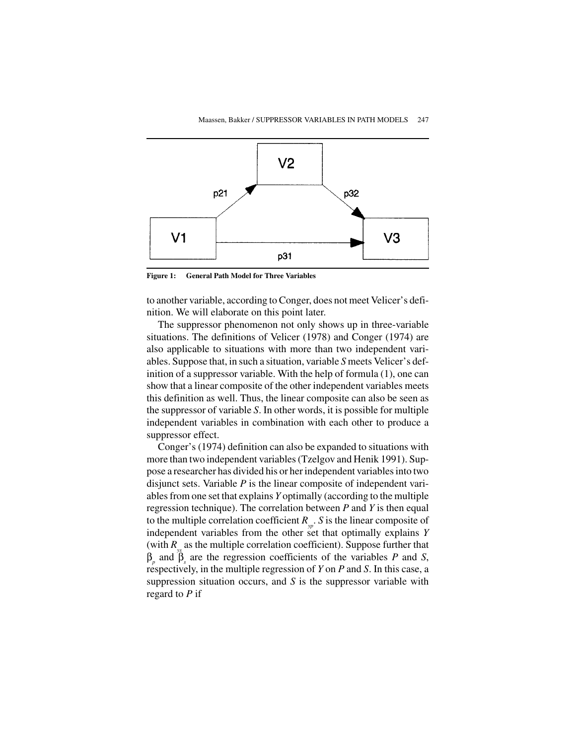

**Figure 1: General Path Model for Three Variables**

to another variable, according to Conger, does not meet Velicer's definition. We will elaborate on this point later.

The suppressor phenomenon not only shows up in three-variable situations. The definitions of Velicer (1978) and Conger (1974) are also applicable to situations with more than two independent variables. Suppose that, in such a situation, variable *S* meets Velicer's definition of a suppressor variable. With the help of formula (1), one can show that a linear composite of the other independent variables meets this definition as well. Thus, the linear composite can also be seen as the suppressor of variable *S*. In other words, it is possible for multiple independent variables in combination with each other to produce a suppressor effect.

Conger's (1974) definition can also be expanded to situations with more than two independent variables (Tzelgov and Henik 1991). Suppose a researcher has divided his or her independent variables into two disjunct sets. Variable *P* is the linear composite of independent variables from one set that explains *Y* optimally (according to the multiple regression technique). The correlation between *P* and *Y* is then equal to the multiple correlation coefficient  $R_{\nu p}$ . *S* is the linear composite of independent variables from the other set that optimally explains *Y* (with  $R_{\mu}$  as the multiple correlation coefficient). Suppose further that  $β<sub>p</sub>$  and  $β<sub>s</sub>$  are the regression coefficients of the variables *P* and *S*, respectively, in the multiple regression of *Y* on *P* and *S*. In this case, a suppression situation occurs, and *S* is the suppressor variable with regard to *P* if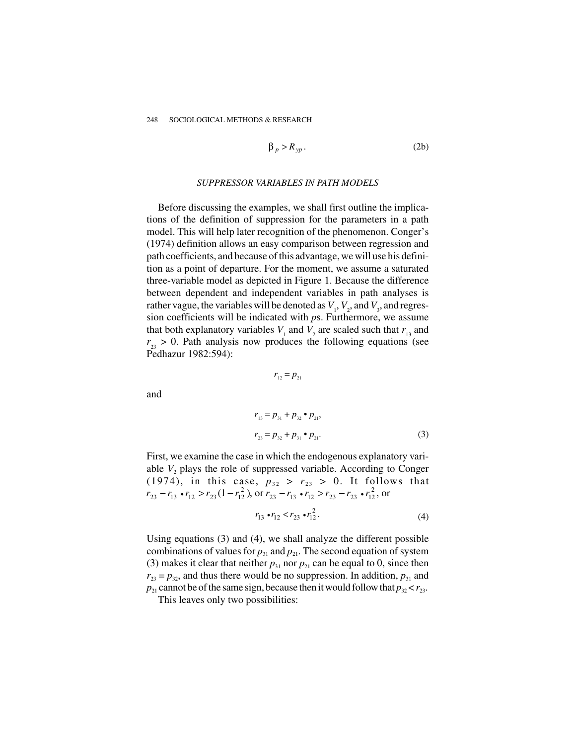$$
\beta_p > R_{yp}.
$$
 (2b)

#### *SUPPRESSOR VARIABLES IN PATH MODELS*

Before discussing the examples, we shall first outline the implications of the definition of suppression for the parameters in a path model. This will help later recognition of the phenomenon. Conger's (1974) definition allows an easy comparison between regression and path coefficients, and because of this advantage, we will use his definition as a point of departure. For the moment, we assume a saturated three-variable model as depicted in Figure 1. Because the difference between dependent and independent variables in path analyses is rather vague, the variables will be denoted as  $V_1$ ,  $V_2$ , and  $V_3$ , and regression coefficients will be indicated with *p*s. Furthermore, we assume that both explanatory variables  $V_1$  and  $V_2$  are scaled such that  $r_{13}$  and  $r_{23} > 0$ . Path analysis now produces the following equations (see Pedhazur 1982:594):

$$
r_{12}=p_{21}
$$

and

$$
r_{13} = p_{31} + p_{32} \cdot p_{21},
$$
  
\n
$$
r_{23} = p_{32} + p_{31} \cdot p_{21}.
$$
 (3)

First, we examine the case in which the endogenous explanatory variable  $V_2$  plays the role of suppressed variable. According to Conger (1974), in this case,  $p_{32} > r_{23} > 0$ . It follows that  $r_{23} - r_{13} \cdot r_{12} > r_{23} (1 - r_{12}^2)$ , or  $r_{23} - r_{13} \cdot r_{12} > r_{23} - r_{23} \cdot r_{12}^2$ , or

$$
r_{13} \cdot r_{12} < r_{23} \cdot r_{12}^2. \tag{4}
$$

Using equations (3) and (4), we shall analyze the different possible combinations of values for  $p_{31}$  and  $p_{21}$ . The second equation of system (3) makes it clear that neither  $p_{31}$  nor  $p_{21}$  can be equal to 0, since then  $r_{23} = p_{32}$ , and thus there would be no suppression. In addition,  $p_{31}$  and  $p_{21}$  cannot be of the same sign, because then it would follow that  $p_{32} < r_{23}$ .

This leaves only two possibilities: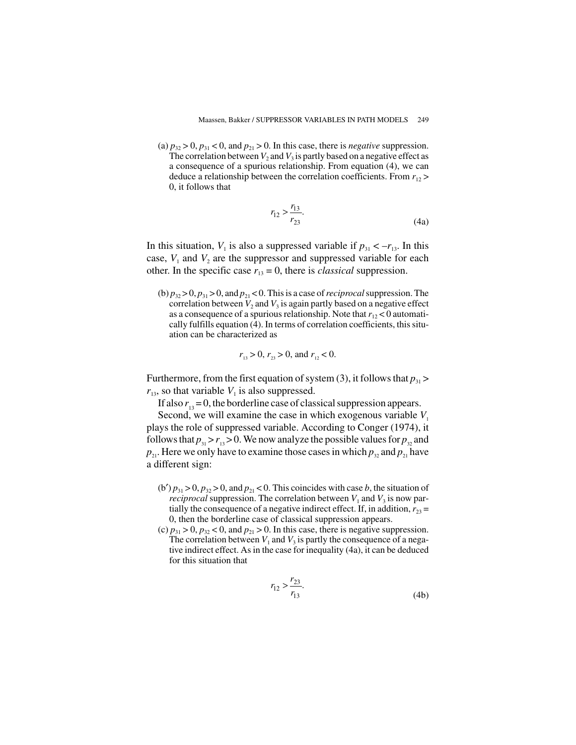(a)  $p_{32} > 0$ ,  $p_{31} < 0$ , and  $p_{21} > 0$ . In this case, there is *negative* suppression. The correlation between  $V_2$  and  $V_3$  is partly based on a negative effect as a consequence of a spurious relationship. From equation (4), we can deduce a relationship between the correlation coefficients. From  $r_{12}$  > 0, it follows that

$$
r_{12} > \frac{r_{13}}{r_{23}}.\tag{4a}
$$

In this situation,  $V_1$  is also a suppressed variable if  $p_{31} < -r_{13}$ . In this case,  $V_1$  and  $V_2$  are the suppressor and suppressed variable for each other. In the specific case  $r_{13} = 0$ , there is *classical* suppression.

(b)  $p_{32} > 0$ ,  $p_{31} > 0$ , and  $p_{21} < 0$ . This is a case of *reciprocal* suppression. The correlation between  $V_2$  and  $V_3$  is again partly based on a negative effect as a consequence of a spurious relationship. Note that  $r_{12} < 0$  automatically fulfills equation (4). In terms of correlation coefficients, this situation can be characterized as

$$
r_{13} > 0
$$
,  $r_{23} > 0$ , and  $r_{12} < 0$ .

Furthermore, from the first equation of system (3), it follows that  $p_{31}$  >  $r_{13}$ , so that variable  $V_1$  is also suppressed.

If also  $r_{12} = 0$ , the borderline case of classical suppression appears.

Second, we will examine the case in which exogenous variable  $V_1$ plays the role of suppressed variable. According to Conger (1974), it follows that  $p_{31} > r_{13} > 0$ . We now analyze the possible values for  $p_{32}$  and  $p_{21}$ . Here we only have to examine those cases in which  $p_{32}$  and  $p_{21}$  have a different sign:

- (b')  $p_{31} > 0$ ,  $p_{32} > 0$ , and  $p_{21} < 0$ . This coincides with case *b*, the situation of *reciprocal* suppression. The correlation between  $V_1$  and  $V_3$  is now partially the consequence of a negative indirect effect. If, in addition,  $r_{23} =$ 0, then the borderline case of classical suppression appears.
- (c)  $p_{31} > 0$ ,  $p_{32} < 0$ , and  $p_{21} > 0$ . In this case, there is negative suppression. The correlation between  $V_1$  and  $V_3$  is partly the consequence of a negative indirect effect. As in the case for inequality (4a), it can be deduced for this situation that

$$
r_{12} > \frac{r_{23}}{r_{13}}.\tag{4b}
$$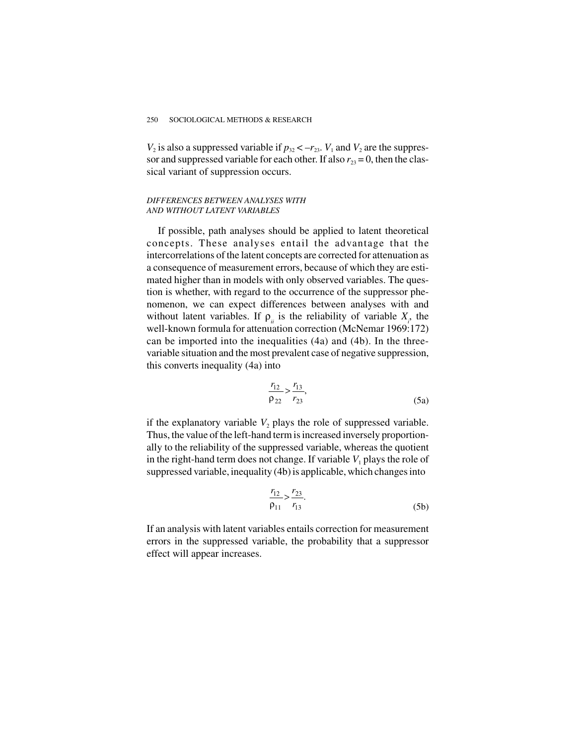$V_2$  is also a suppressed variable if  $p_{32} < -r_{23}$ .  $V_1$  and  $V_2$  are the suppressor and suppressed variable for each other. If also  $r_{23} = 0$ , then the classical variant of suppression occurs.

### *DIFFERENCES BETWEEN ANALYSES WITH AND WITHOUT LATENT VARIABLES*

If possible, path analyses should be applied to latent theoretical concepts. These analyses entail the advantage that the intercorrelations of the latent concepts are corrected for attenuation as a consequence of measurement errors, because of which they are estimated higher than in models with only observed variables. The question is whether, with regard to the occurrence of the suppressor phenomenon, we can expect differences between analyses with and without latent variables. If  $\rho_{ii}$  is the reliability of variable  $X_i$ , the well-known formula for attenuation correction (McNemar 1969:172) can be imported into the inequalities (4a) and (4b). In the threevariable situation and the most prevalent case of negative suppression, this converts inequality (4a) into

$$
\frac{r_{12}}{\rho_{22}} > \frac{r_{13}}{r_{23}},\tag{5a}
$$

if the explanatory variable  $V_2$  plays the role of suppressed variable. Thus, the value of the left-hand term is increased inversely proportionally to the reliability of the suppressed variable, whereas the quotient in the right-hand term does not change. If variable  $V_1$  plays the role of suppressed variable, inequality (4b) is applicable, which changes into

$$
\frac{r_{12}}{\rho_{11}} > \frac{r_{23}}{r_{13}}.\tag{5b}
$$

If an analysis with latent variables entails correction for measurement errors in the suppressed variable, the probability that a suppressor effect will appear increases.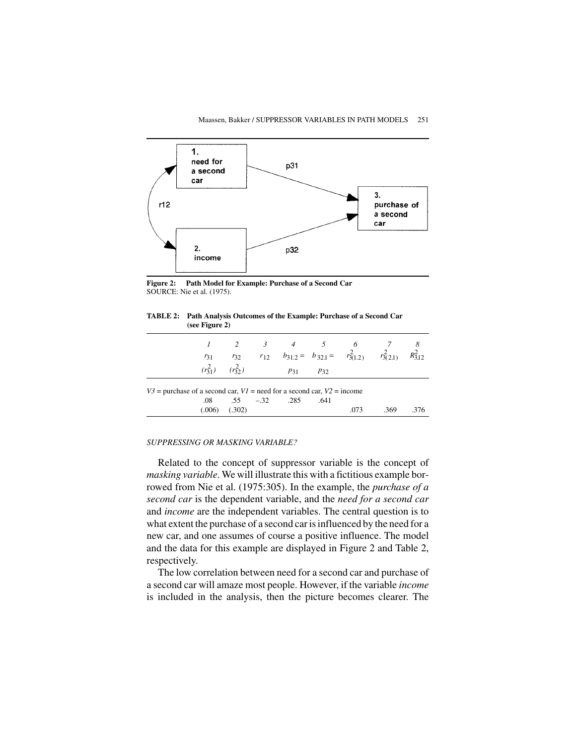

**Figure 2: Path Model for Example: Purchase of a Second Car** SOURCE: Nie et al. (1975).

**TABLE 2: Path Analysis Outcomes of the Example: Purchase of a Second Car (see Figure 2)**

|                                                                              |              |                              |  | 2 3 4 5 6 |      |      |                                                              |              |  |
|------------------------------------------------------------------------------|--------------|------------------------------|--|-----------|------|------|--------------------------------------------------------------|--------------|--|
|                                                                              | $r_{31}$     | $r_{32}$                     |  |           |      |      | $r_{12}$ $b_{31.2} = b_{32.1} = r_{3(1.2)}^2$ $r_{3(2.1)}^2$ | $R_{3,12}^2$ |  |
|                                                                              | $(r_{31}^2)$ | $(r_3^2)$                    |  | P31       | P32  |      |                                                              |              |  |
| $V3$ = purchase of a second car, $VI$ = need for a second car, $V2$ = income |              |                              |  |           |      |      |                                                              |              |  |
|                                                                              |              | $.08 \t .55 \t -.32 \t .285$ |  |           | .641 |      |                                                              |              |  |
|                                                                              | (.006)       | (.302)                       |  |           |      | .073 | .369                                                         | -376         |  |

#### *SUPPRESSING OR MASKING VARIABLE?*

Related to the concept of suppressor variable is the concept of *masking variable*. We will illustrate this with a fictitious example borrowed from Nie et al. (1975:305). In the example, the *purchase of a second car* is the dependent variable, and the *need for a second car* and *income* are the independent variables. The central question is to what extent the purchase of a second car is influenced by the need for a new car, and one assumes of course a positive influence. The model and the data for this example are displayed in Figure 2 and Table 2, respectively.

The low correlation between need for a second car and purchase of a second car will amaze most people. However, if the variable *income* is included in the analysis, then the picture becomes clearer. The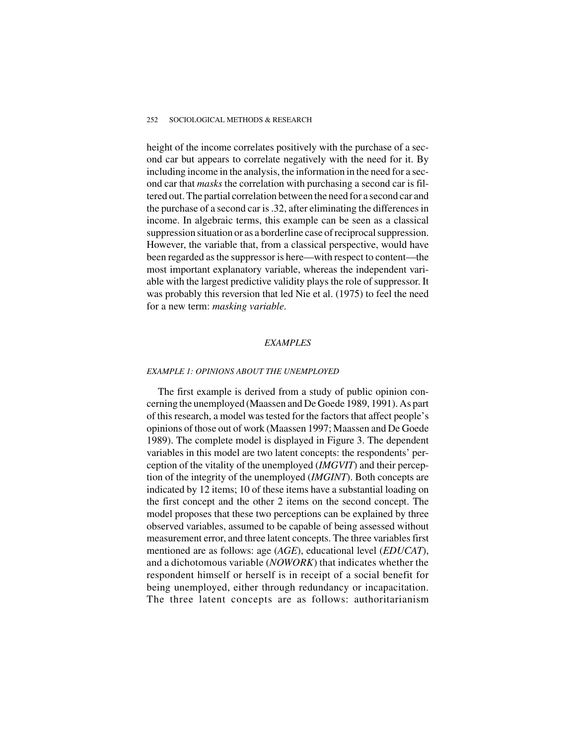height of the income correlates positively with the purchase of a second car but appears to correlate negatively with the need for it. By including income in the analysis, the information in the need for a second car that *masks* the correlation with purchasing a second car is filtered out. The partial correlation between the need for a second car and the purchase of a second car is .32, after eliminating the differences in income. In algebraic terms, this example can be seen as a classical suppression situation or as a borderline case of reciprocal suppression. However, the variable that, from a classical perspective, would have been regarded as the suppressor is here—with respect to content—the most important explanatory variable, whereas the independent variable with the largest predictive validity plays the role of suppressor. It was probably this reversion that led Nie et al. (1975) to feel the need for a new term: *masking variable*.

#### *EXAMPLES*

### *EXAMPLE 1: OPINIONS ABOUT THE UNEMPLOYED*

The first example is derived from a study of public opinion concerning the unemployed (Maassen and De Goede 1989, 1991). As part of this research, a model was tested for the factors that affect people's opinions of those out of work (Maassen 1997; Maassen and De Goede 1989). The complete model is displayed in Figure 3. The dependent variables in this model are two latent concepts: the respondents' perception of the vitality of the unemployed (*IMGVIT*) and their perception of the integrity of the unemployed (*IMGINT*). Both concepts are indicated by 12 items; 10 of these items have a substantial loading on the first concept and the other 2 items on the second concept. The model proposes that these two perceptions can be explained by three observed variables, assumed to be capable of being assessed without measurement error, and three latent concepts. The three variables first mentioned are as follows: age (*AGE*), educational level (*EDUCAT*), and a dichotomous variable (*NOWORK*) that indicates whether the respondent himself or herself is in receipt of a social benefit for being unemployed, either through redundancy or incapacitation. The three latent concepts are as follows: authoritarianism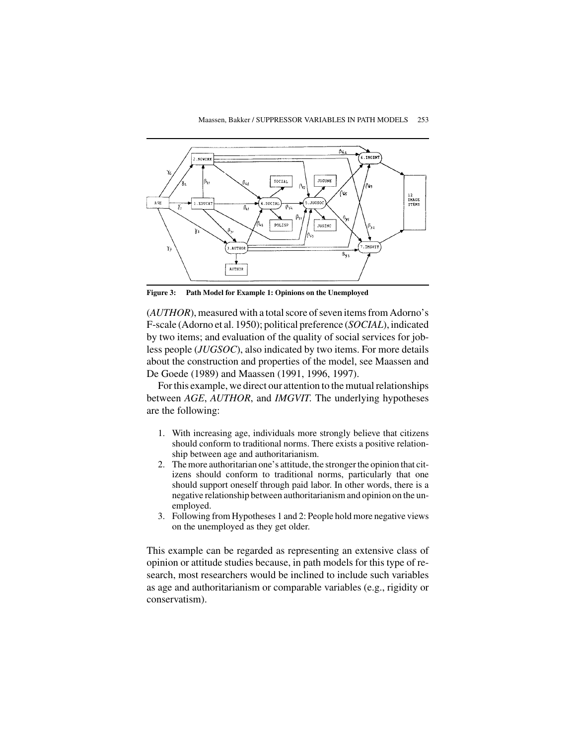

**Figure 3: Path Model for Example 1: Opinions on the Unemployed**

(*AUTHOR*), measured with a total score of seven items from Adorno's F-scale (Adorno et al. 1950); political preference (*SOCIAL*), indicated by two items; and evaluation of the quality of social services for jobless people (*JUGSOC*), also indicated by two items. For more details about the construction and properties of the model, see Maassen and De Goede (1989) and Maassen (1991, 1996, 1997).

For this example, we direct our attention to the mutual relationships between *AGE*, *AUTHOR*, and *IMGVIT*. The underlying hypotheses are the following:

- 1. With increasing age, individuals more strongly believe that citizens should conform to traditional norms. There exists a positive relationship between age and authoritarianism.
- 2. The more authoritarian one's attitude, the stronger the opinion that citizens should conform to traditional norms, particularly that one should support oneself through paid labor. In other words, there is a negative relationship between authoritarianism and opinion on the unemployed.
- 3. Following from Hypotheses 1 and 2: People hold more negative views on the unemployed as they get older.

This example can be regarded as representing an extensive class of opinion or attitude studies because, in path models for this type of research, most researchers would be inclined to include such variables as age and authoritarianism or comparable variables (e.g., rigidity or conservatism).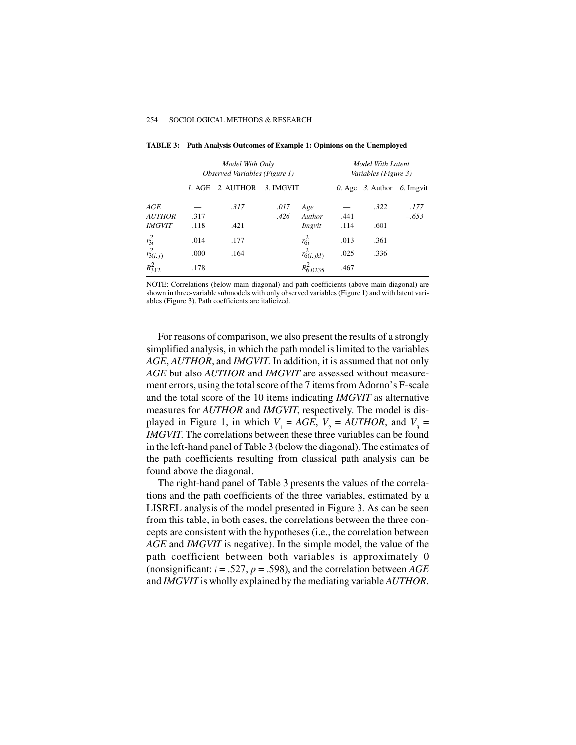|                |         | Model With Only<br>Observed Variables (Figure 1) | Model With Latent<br>Variables (Figure 3) |                   |         |                                   |         |
|----------------|---------|--------------------------------------------------|-------------------------------------------|-------------------|---------|-----------------------------------|---------|
|                | I. AGE  | 2. AUTHOR                                        | 3. IMGVIT                                 |                   |         | 0. Age $\beta$ . Author 6. Imgvit |         |
| AGE            |         | .317                                             | .017                                      | Age               |         | .322                              | .177    |
| <i>AUTHOR</i>  | .317    |                                                  | $-.426$                                   | Author            | .441    |                                   | $-.653$ |
| <i>IMGVIT</i>  | $-.118$ | $-.421$                                          |                                           | Imgvit            | $-.114$ | $-.601$                           |         |
| $r_{3i}^2$     | .014    | .177                                             |                                           | $r_{6i}^2$        | .013    | .361                              |         |
| $r_{3(i,j)}^2$ | .000    | .164                                             |                                           | $r_{6(i. jkl)}^2$ | .025    | .336                              |         |
| $R_{3,12}^2$   | .178    |                                                  |                                           | $R_{6.0235}^2$    | .467    |                                   |         |

**TABLE 3: Path Analysis Outcomes of Example 1: Opinions on the Unemployed**

NOTE: Correlations (below main diagonal) and path coefficients (above main diagonal) are shown in three-variable submodels with only observed variables (Figure 1) and with latent variables (Figure 3). Path coefficients are italicized.

For reasons of comparison, we also present the results of a strongly simplified analysis, in which the path model is limited to the variables *AGE*, *AUTHOR*, and *IMGVIT*. In addition, it is assumed that not only *AGE* but also *AUTHOR* and *IMGVIT* are assessed without measurement errors, using the total score of the 7 items from Adorno's F-scale and the total score of the 10 items indicating *IMGVIT* as alternative measures for *AUTHOR* and *IMGVIT*, respectively. The model is displayed in Figure 1, in which  $V_1 = AGE$ ,  $V_2 = AUTHOR$ , and  $V_3 =$ *IMGVIT*. The correlations between these three variables can be found in the left-hand panel of Table 3 (below the diagonal). The estimates of the path coefficients resulting from classical path analysis can be found above the diagonal.

The right-hand panel of Table 3 presents the values of the correlations and the path coefficients of the three variables, estimated by a LISREL analysis of the model presented in Figure 3. As can be seen from this table, in both cases, the correlations between the three concepts are consistent with the hypotheses (i.e., the correlation between *AGE* and *IMGVIT* is negative). In the simple model, the value of the path coefficient between both variables is approximately 0 (nonsignificant: *t* = .527, *p* = .598), and the correlation between *AGE* and *IMGVIT* is wholly explained by the mediating variable *AUTHOR*.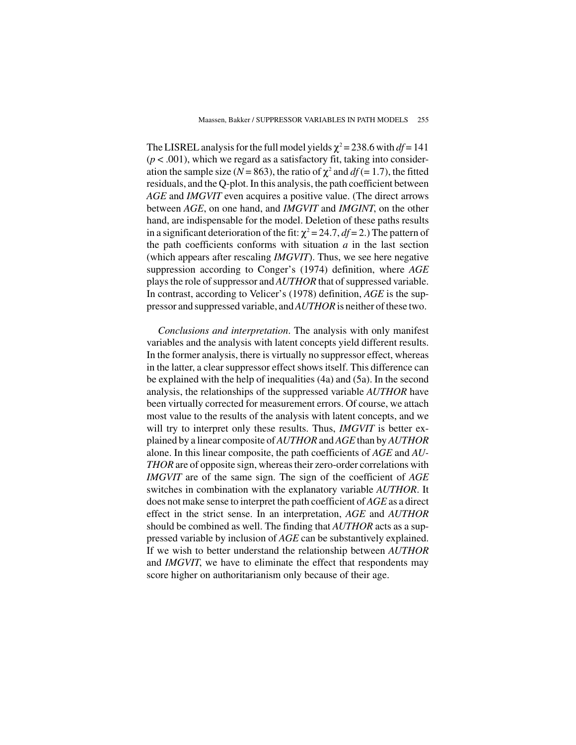The LISREL analysis for the full model yields  $\chi^2$  = 238.6 with *df* = 141  $(p < .001)$ , which we regard as a satisfactory fit, taking into consideration the sample size ( $N = 863$ ), the ratio of  $\chi^2$  and  $df = 1.7$ ), the fitted residuals, and the Q-plot. In this analysis, the path coefficient between *AGE* and *IMGVIT* even acquires a positive value. (The direct arrows between *AGE*, on one hand, and *IMGVIT* and *IMGINT*, on the other hand, are indispensable for the model. Deletion of these paths results in a significant deterioration of the fit:  $\chi^2 = 24.7$ ,  $df = 2$ .) The pattern of the path coefficients conforms with situation *a* in the last section (which appears after rescaling *IMGVIT*). Thus, we see here negative suppression according to Conger's (1974) definition, where *AGE* plays the role of suppressor and *AUTHOR* that of suppressed variable. In contrast, according to Velicer's (1978) definition, *AGE* is the suppressor and suppressed variable, and*AUTHOR*is neither of these two.

*Conclusions and interpretation*. The analysis with only manifest variables and the analysis with latent concepts yield different results. In the former analysis, there is virtually no suppressor effect, whereas in the latter, a clear suppressor effect shows itself. This difference can be explained with the help of inequalities (4a) and (5a). In the second analysis, the relationships of the suppressed variable *AUTHOR* have been virtually corrected for measurement errors. Of course, we attach most value to the results of the analysis with latent concepts, and we will try to interpret only these results. Thus, *IMGVIT* is better explained by a linear composite of *AUTHOR* and *AGE* than by *AUTHOR* alone. In this linear composite, the path coefficients of *AGE* and *AU-THOR* are of opposite sign, whereas their zero-order correlations with *IMGVIT* are of the same sign. The sign of the coefficient of *AGE* switches in combination with the explanatory variable *AUTHOR*. It does not make sense to interpret the path coefficient of *AGE* as a direct effect in the strict sense. In an interpretation, *AGE* and *AUTHOR* should be combined as well. The finding that *AUTHOR* acts as a suppressed variable by inclusion of *AGE* can be substantively explained. If we wish to better understand the relationship between *AUTHOR* and *IMGVIT*, we have to eliminate the effect that respondents may score higher on authoritarianism only because of their age.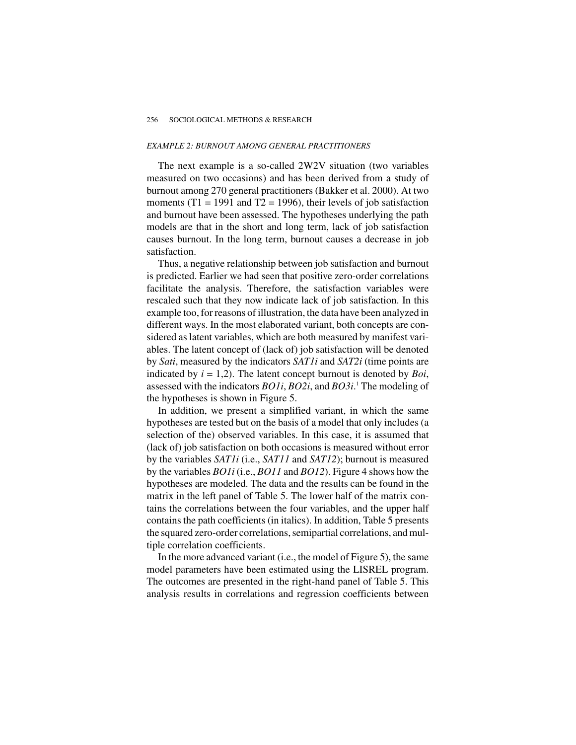#### *EXAMPLE 2: BURNOUT AMONG GENERAL PRACTITIONERS*

The next example is a so-called 2W2V situation (two variables measured on two occasions) and has been derived from a study of burnout among 270 general practitioners (Bakker et al. 2000). At two moments (T1 = 1991 and T2 = 1996), their levels of job satisfaction and burnout have been assessed. The hypotheses underlying the path models are that in the short and long term, lack of job satisfaction causes burnout. In the long term, burnout causes a decrease in job satisfaction.

Thus, a negative relationship between job satisfaction and burnout is predicted. Earlier we had seen that positive zero-order correlations facilitate the analysis. Therefore, the satisfaction variables were rescaled such that they now indicate lack of job satisfaction. In this example too, for reasons of illustration, the data have been analyzed in different ways. In the most elaborated variant, both concepts are considered as latent variables, which are both measured by manifest variables. The latent concept of (lack of) job satisfaction will be denoted by *Sati*, measured by the indicators *SAT1i* and *SAT2i* (time points are indicated by *i* = 1,2). The latent concept burnout is denoted by *Boi*, assessed with the indicators *BO1i*, *BO2i*, and *BO3i*. <sup>1</sup> The modeling of the hypotheses is shown in Figure 5.

In addition, we present a simplified variant, in which the same hypotheses are tested but on the basis of a model that only includes (a selection of the) observed variables. In this case, it is assumed that (lack of) job satisfaction on both occasions is measured without error by the variables *SAT1i* (i.e., *SAT11* and *SAT12*); burnout is measured by the variables *BO1i* (i.e., *BO11* and *BO12*). Figure 4 shows how the hypotheses are modeled. The data and the results can be found in the matrix in the left panel of Table 5. The lower half of the matrix contains the correlations between the four variables, and the upper half contains the path coefficients (in italics). In addition, Table 5 presents the squared zero-order correlations, semipartial correlations, and multiple correlation coefficients.

In the more advanced variant (i.e., the model of Figure 5), the same model parameters have been estimated using the LISREL program. The outcomes are presented in the right-hand panel of Table 5. This analysis results in correlations and regression coefficients between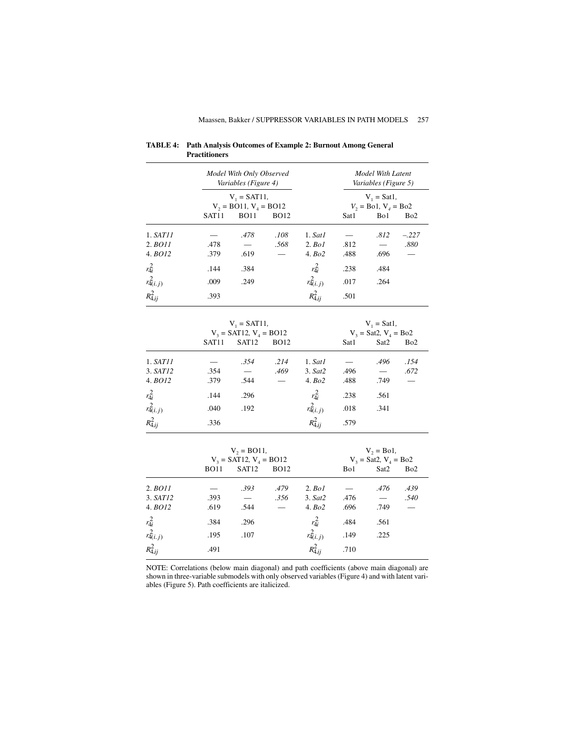|                                                |                   | Model With Only Observed<br>Variables (Figure 4) |             |                | Model With Latent<br>Variables (Figure 5)<br>$V_1 = Sat1$ , |                          |                 |  |
|------------------------------------------------|-------------------|--------------------------------------------------|-------------|----------------|-------------------------------------------------------------|--------------------------|-----------------|--|
|                                                |                   | $V_1 = SAT11$ ,                                  |             |                |                                                             |                          |                 |  |
|                                                |                   | $V_2 = BO11$ , $V_4 = BO12$                      |             |                |                                                             | $V_2 =$ Bo1, $V_4 =$ Bo2 |                 |  |
|                                                | SAT11             | <b>BO11</b>                                      | <b>BO12</b> |                | Sat1                                                        | Bo1                      | Bo <sub>2</sub> |  |
| 1. SAT11                                       |                   | .478                                             | .108        | 1. Sat1        |                                                             | .812                     | $-.227$         |  |
| 2. BO11                                        | .478              |                                                  | .568        | $2.$ Bo1       | .812                                                        |                          | .880            |  |
| 4. BO12                                        | .379              | .619                                             |             | 4. Bo2         | .488                                                        | .696                     |                 |  |
| $r_{4i}^2$                                     | .144              | .384                                             |             | $r_{4i}^2$     | .238                                                        | .484                     |                 |  |
| $r_{4(i. j)}^2$                                | .009              | .249                                             |             | $r^2_{4(i,j)}$ | .017                                                        | .264                     |                 |  |
| $R_{4.ij}^2$                                   | .393              |                                                  |             | $R_{4.ij}^2$   | .501                                                        |                          |                 |  |
|                                                |                   |                                                  |             |                |                                                             |                          |                 |  |
| $V_1 = SAT11$ ,<br>$V_3$ = SAT12, $V_4$ = BO12 |                   |                                                  |             |                | $V_1 = Sat1$ ,<br>$V_3 = Sat2$ , $V_4 = Bo2$                |                          |                 |  |
|                                                | SAT <sub>11</sub> | SAT <sub>12</sub>                                | <b>BO12</b> |                | Sat1                                                        | Sat2                     | Bo <sub>2</sub> |  |
|                                                |                   |                                                  |             |                |                                                             |                          |                 |  |
| 1. SAT11                                       |                   | .354                                             | .214        | 1. Sat1        |                                                             | .496                     | .154            |  |
| 3. SAT12                                       | .354              |                                                  | .469        | 3. Sat2        | .496                                                        |                          | .672            |  |
| 4. BO12                                        | .379              | .544                                             |             | 4. Bo2         | .488                                                        | .749                     |                 |  |
| $r_{4i}^2$                                     | .144              | .296                                             |             | $r_{4i}^2$     | .238                                                        | .561                     |                 |  |
| $r^2_{4(i,j)}$                                 | .040              | .192                                             |             | $r^2_{4(i,j)}$ | .018                                                        | .341                     |                 |  |
| $R_{4.ij}^2$                                   | .336              |                                                  |             | $R_{4.ij}^2$   | .579                                                        |                          |                 |  |
|                                                |                   |                                                  |             |                |                                                             |                          |                 |  |
|                                                |                   | $V_2 = BO11$ ,                                   |             |                | $V_2 = Bol$ ,<br>$V_3 = Sat2$ , $V_4 = Bo2$                 |                          |                 |  |
|                                                | <b>BO11</b>       | $V_3$ = SAT12, $V_4$ = BO12<br>SAT <sub>12</sub> | <b>BO12</b> |                |                                                             |                          |                 |  |
|                                                |                   |                                                  |             |                | Bo1                                                         | Sat2                     | Bo2             |  |
| 2. BO11                                        |                   | .393                                             | .479        | $2.$ Bo1       |                                                             | .476                     | .439            |  |
| 3. SAT12                                       | .393              |                                                  | .356        | 3. Sat2        | .476                                                        |                          | .540            |  |
| 4. BO12                                        | .619              | .544                                             |             | 4. Bo2         | .696                                                        | .749                     |                 |  |
| $r_{4i}^2$                                     | .384              | .296                                             |             | $r_{4i}^2$     | .484                                                        | .561                     |                 |  |
| $r_{4(i,j)}^2$                                 | .195              | .107                                             |             | $r_{4(i,j)}^2$ | .149                                                        | .225                     |                 |  |

**TABLE 4: Path Analysis Outcomes of Example 2: Burnout Among General Practitioners**

NOTE: Correlations (below main diagonal) and path coefficients (above main diagonal) are shown in three-variable submodels with only observed variables (Figure 4) and with latent variables (Figure 5). Path coefficients are italicized.

 $R_{4.ij}^2$ 

. .710

 $R_{4,ij}^2$  .491 *R*<sub>4*i*j</sub>

*R*4*ij* 2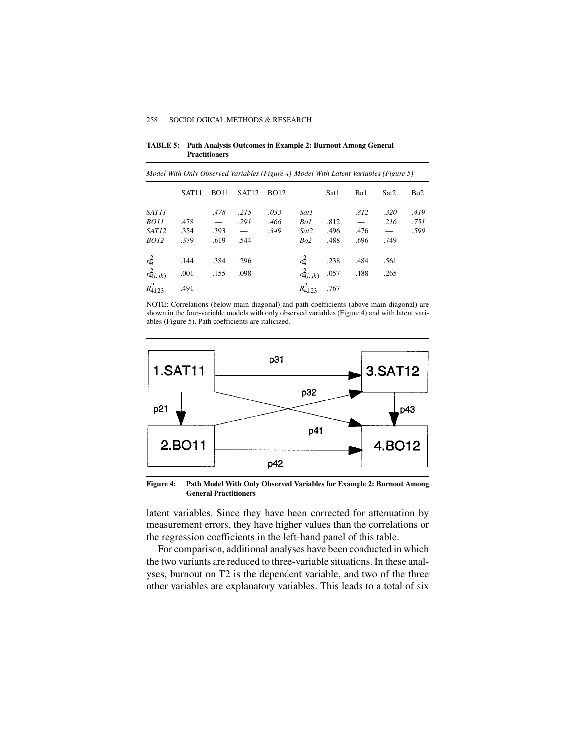**TABLE 5: Path Analysis Outcomes in Example 2: Burnout Among General Practitioners**

|                 | SAT <sub>11</sub> | <b>BO11</b>       | SAT <sub>12</sub> | <b>BO12</b>   |                  | Sat1 | Bo1  | Sat <sub>2</sub> | B <sub>o</sub> 2         |
|-----------------|-------------------|-------------------|-------------------|---------------|------------------|------|------|------------------|--------------------------|
| SAT11           |                   | .478              | .215              | .033          | Sat1             |      | .812 | .320             | $-419$                   |
| <i>BO11</i>     | .478              | $\qquad \qquad =$ | .291              | .466          | Bo1              | .812 |      | .216             | .751                     |
| SAT12           | .354              | .393              |                   | .349          | Sat2             | .496 | .476 |                  | .599                     |
| <i>BO12</i>     | .379              | .619              | .544              | $\frac{1}{2}$ | Bo2              | .488 | .696 | .749             | $\overline{\phantom{0}}$ |
| $r_{4i}^2$      | .144              | .384              | .296              |               | $r_{4i}^2$       | .238 | .484 | .561             |                          |
| $r_{4(i,jk)}^2$ | .001              | .155              | .098              |               | $r_{4(i. jk)}^2$ | .057 | .188 | .265             |                          |
| $R_{4.123}^2$   | .491              |                   |                   |               | $R_{4123}^2$     | .767 |      |                  |                          |

*Model With Only Observed Variables (Figure 4) Model With Latent Variables (Figure 5)*

NOTE: Correlations (below main diagonal) and path coefficients (above main diagonal) are shown in the four-variable models with only observed variables (Figure 4) and with latent variables (Figure 5). Path coefficients are italicized.



**Figure 4: Path Model With Only Observed Variables for Example 2: Burnout Among General Practitioners**

latent variables. Since they have been corrected for attenuation by measurement errors, they have higher values than the correlations or the regression coefficients in the left-hand panel of this table.

For comparison, additional analyses have been conducted in which the two variants are reduced to three-variable situations. In these analyses, burnout on T2 is the dependent variable, and two of the three other variables are explanatory variables. This leads to a total of six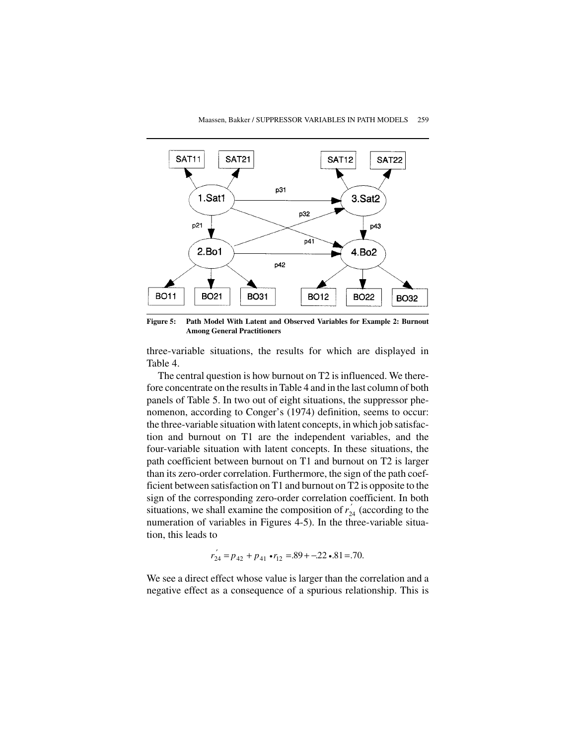

**Figure 5: Path Model With Latent and Observed Variables for Example 2: Burnout Among General Practitioners**

three-variable situations, the results for which are displayed in Table 4.

The central question is how burnout on T2 is influenced. We therefore concentrate on the results in Table 4 and in the last column of both panels of Table 5. In two out of eight situations, the suppressor phenomenon, according to Conger's (1974) definition, seems to occur: the three-variable situation with latent concepts, in which job satisfaction and burnout on T1 are the independent variables, and the four-variable situation with latent concepts. In these situations, the path coefficient between burnout on T1 and burnout on T2 is larger than its zero-order correlation. Furthermore, the sign of the path coefficient between satisfaction on T1 and burnout on T2 is opposite to the sign of the corresponding zero-order correlation coefficient. In both situations, we shall examine the composition of  $r_{24}^{'}$  (according to the numeration of variables in Figures 4-5). In the three-variable situation, this leads to

$$
r_{24}^{'} = p_{42} + p_{41} \cdot r_{12} = 0.89 + 0.22 \cdot 0.81 = 0.70.
$$

We see a direct effect whose value is larger than the correlation and a negative effect as a consequence of a spurious relationship. This is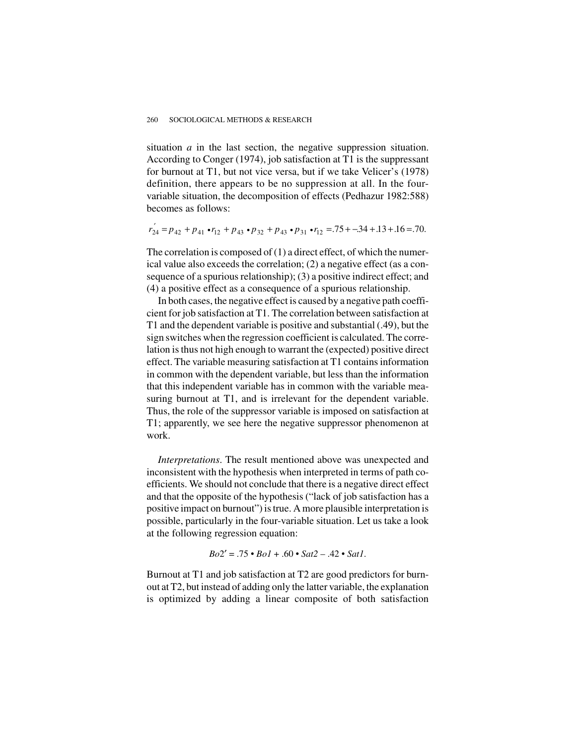situation *a* in the last section, the negative suppression situation. According to Conger (1974), job satisfaction at T1 is the suppressant for burnout at T1, but not vice versa, but if we take Velicer's (1978) definition, there appears to be no suppression at all. In the fourvariable situation, the decomposition of effects (Pedhazur 1982:588) becomes as follows:

$$
r_{24}^{'} = p_{42} + p_{41} \cdot r_{12} + p_{43} \cdot p_{32} + p_{43} \cdot p_{31} \cdot r_{12} = .75 + .34 + .13 + .16 = .70.
$$

The correlation is composed of (1) a direct effect, of which the numerical value also exceeds the correlation; (2) a negative effect (as a consequence of a spurious relationship); (3) a positive indirect effect; and (4) a positive effect as a consequence of a spurious relationship.

In both cases, the negative effect is caused by a negative path coefficient for job satisfaction at T1. The correlation between satisfaction at T1 and the dependent variable is positive and substantial (.49), but the sign switches when the regression coefficient is calculated. The correlation is thus not high enough to warrant the (expected) positive direct effect. The variable measuring satisfaction at T1 contains information in common with the dependent variable, but less than the information that this independent variable has in common with the variable measuring burnout at T1, and is irrelevant for the dependent variable. Thus, the role of the suppressor variable is imposed on satisfaction at T1; apparently, we see here the negative suppressor phenomenon at work.

*Interpretations*. The result mentioned above was unexpected and inconsistent with the hypothesis when interpreted in terms of path coefficients. We should not conclude that there is a negative direct effect and that the opposite of the hypothesis ("lack of job satisfaction has a positive impact on burnout") is true. A more plausible interpretation is possible, particularly in the four-variable situation. Let us take a look at the following regression equation:

$$
Bo2' = .75 \cdot Bol + .60 \cdot Sat2 - .42 \cdot Sat1.
$$

Burnout at T1 and job satisfaction at T2 are good predictors for burnout at T2, but instead of adding only the latter variable, the explanation is optimized by adding a linear composite of both satisfaction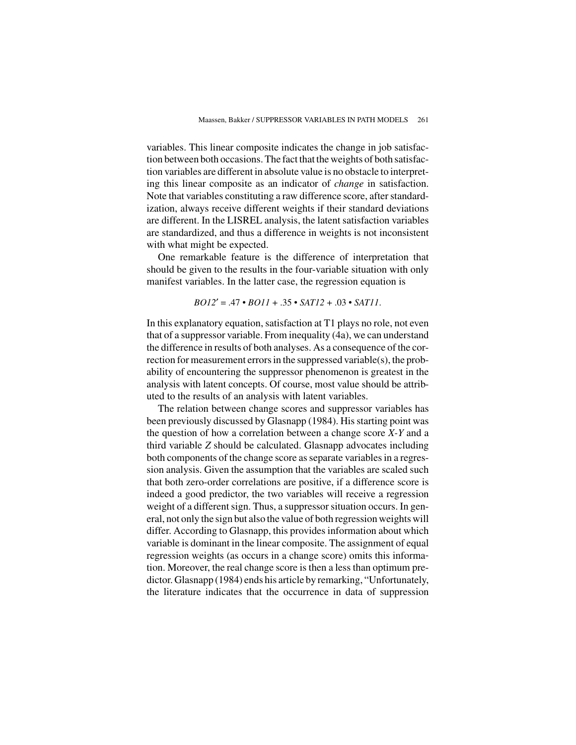variables. This linear composite indicates the change in job satisfaction between both occasions. The fact that the weights of both satisfaction variables are different in absolute value is no obstacle to interpreting this linear composite as an indicator of *change* in satisfaction. Note that variables constituting a raw difference score, after standardization, always receive different weights if their standard deviations are different. In the LISREL analysis, the latent satisfaction variables are standardized, and thus a difference in weights is not inconsistent with what might be expected.

One remarkable feature is the difference of interpretation that should be given to the results in the four-variable situation with only manifest variables. In the latter case, the regression equation is

$$
BO12' = .47 \cdot B011 + .35 \cdot SAT12 + .03 \cdot SAT11.
$$

In this explanatory equation, satisfaction at T1 plays no role, not even that of a suppressor variable. From inequality (4a), we can understand the difference in results of both analyses. As a consequence of the correction for measurement errors in the suppressed variable(s), the probability of encountering the suppressor phenomenon is greatest in the analysis with latent concepts. Of course, most value should be attributed to the results of an analysis with latent variables.

The relation between change scores and suppressor variables has been previously discussed by Glasnapp (1984). His starting point was the question of how a correlation between a change score *X-Y* and a third variable *Z* should be calculated. Glasnapp advocates including both components of the change score as separate variables in a regression analysis. Given the assumption that the variables are scaled such that both zero-order correlations are positive, if a difference score is indeed a good predictor, the two variables will receive a regression weight of a different sign. Thus, a suppressor situation occurs. In general, not only the sign but also the value of both regression weights will differ. According to Glasnapp, this provides information about which variable is dominant in the linear composite. The assignment of equal regression weights (as occurs in a change score) omits this information. Moreover, the real change score is then a less than optimum predictor. Glasnapp (1984) ends his article by remarking, "Unfortunately, the literature indicates that the occurrence in data of suppression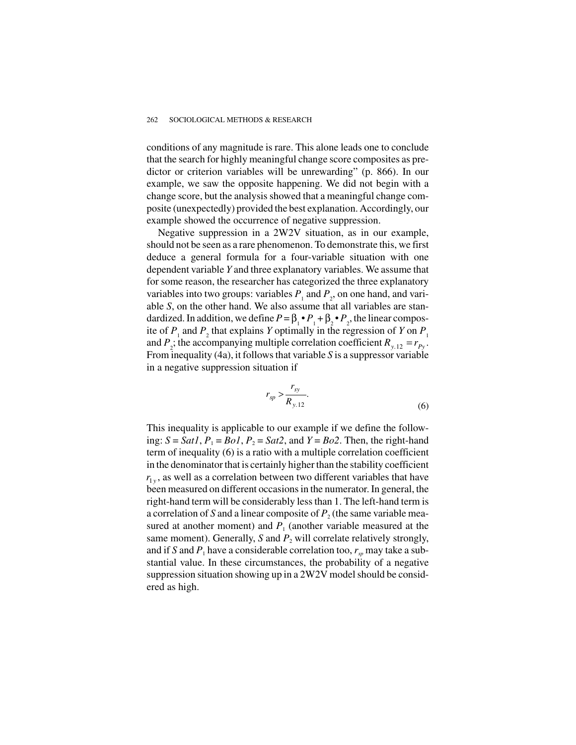conditions of any magnitude is rare. This alone leads one to conclude that the search for highly meaningful change score composites as predictor or criterion variables will be unrewarding" (p. 866). In our example, we saw the opposite happening. We did not begin with a change score, but the analysis showed that a meaningful change composite (unexpectedly) provided the best explanation. Accordingly, our example showed the occurrence of negative suppression.

Negative suppression in a 2W2V situation, as in our example, should not be seen as a rare phenomenon. To demonstrate this, we first deduce a general formula for a four-variable situation with one dependent variable *Y* and three explanatory variables. We assume that for some reason, the researcher has categorized the three explanatory variables into two groups: variables  $P_1$  and  $P_2$ , on one hand, and variable *S*, on the other hand. We also assume that all variables are standardized. In addition, we define  $P = \beta_1 \cdot P_1 + \beta_2 \cdot P_2$ , the linear composite of  $P_1$  and  $P_2$  that explains  $Y$  optimally in the regression of  $Y$  on  $P_1$ and  $P_2$ ; the accompanying multiple correlation coefficient  $R_{y,12} = r_{Py}$ . From inequality (4a), it follows that variable *S* is a suppressor variable in a negative suppression situation if

$$
r_{sp} > \frac{r_{sy}}{R_{y.12}}.\tag{6}
$$

This inequality is applicable to our example if we define the following:  $S = Sat1$ ,  $P_1 = Bol$ ,  $P_2 = Sat2$ , and  $Y = Bo2$ . Then, the right-hand term of inequality (6) is a ratio with a multiple correlation coefficient in the denominator that is certainly higher than the stability coefficient  $r_{1v}$ , as well as a correlation between two different variables that have been measured on different occasions in the numerator. In general, the right-hand term will be considerably less than 1. The left-hand term is a correlation of *S* and a linear composite of  $P_2$  (the same variable measured at another moment) and  $P_1$  (another variable measured at the same moment). Generally, *S* and  $P_2$  will correlate relatively strongly, and if *S* and  $P_1$  have a considerable correlation too,  $r_{sp}$  may take a substantial value. In these circumstances, the probability of a negative suppression situation showing up in a 2W2V model should be considered as high.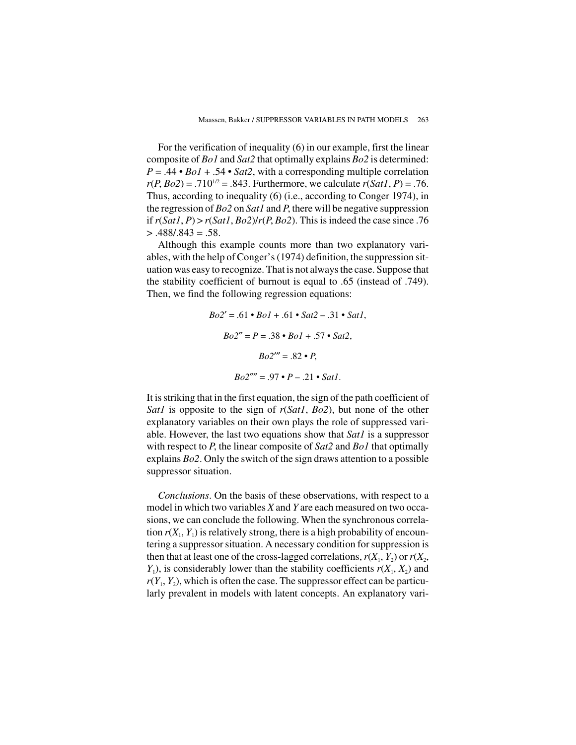For the verification of inequality (6) in our example, first the linear composite of *Bo1* and *Sat2* that optimally explains *Bo2* is determined:  $P = .44 \cdot B_0I + .54 \cdot Sat2$ , with a corresponding multiple correlation  $r(P, Bo2) = .710^{1/2} = .843$ . Furthermore, we calculate  $r(Sat1, P) = .76$ . Thus, according to inequality (6) (i.e., according to Conger 1974), in the regression of *Bo2* on *Sat1* and *P*, there will be negative suppression if  $r(Sat1, P) > r(Sat1, Bo2)/r(P, Bo2)$ . This is indeed the case since .76  $> .488/.843 = .58.$ 

Although this example counts more than two explanatory variables, with the help of Conger's (1974) definition, the suppression situation was easy to recognize. That is not always the case. Suppose that the stability coefficient of burnout is equal to .65 (instead of .749). Then, we find the following regression equations:

$$
Bo2' = .61 \cdot Bo1 + .61 \cdot Sat2 - .31 \cdot Sat1,
$$
  
\n
$$
Bo2'' = P = .38 \cdot Bo1 + .57 \cdot Sat2,
$$
  
\n
$$
Bo2''' = .82 \cdot P,
$$
  
\n
$$
Bo2'''' = .97 \cdot P - .21 \cdot Sat1.
$$

It is striking that in the first equation, the sign of the path coefficient of *Sat1* is opposite to the sign of *r*(*Sat1*, *Bo2*), but none of the other explanatory variables on their own plays the role of suppressed variable. However, the last two equations show that *Sat1* is a suppressor with respect to *P*, the linear composite of *Sat2* and *Bo1* that optimally explains *Bo2*. Only the switch of the sign draws attention to a possible suppressor situation.

*Conclusions*. On the basis of these observations, with respect to a model in which two variables *X* and *Y* are each measured on two occasions, we can conclude the following. When the synchronous correlation  $r(X_1, Y_1)$  is relatively strong, there is a high probability of encountering a suppressor situation. A necessary condition for suppression is then that at least one of the cross-lagged correlations,  $r(X_1, Y_2)$  or  $r(X_2, Y_1)$  $Y_1$ ), is considerably lower than the stability coefficients  $r(X_1, X_2)$  and  $r(Y_1, Y_2)$ , which is often the case. The suppressor effect can be particularly prevalent in models with latent concepts. An explanatory vari-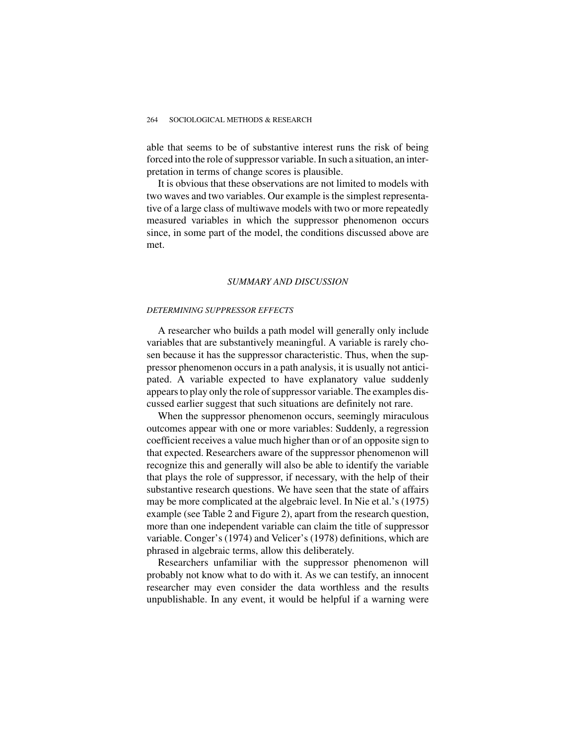able that seems to be of substantive interest runs the risk of being forced into the role of suppressor variable. In such a situation, an interpretation in terms of change scores is plausible.

It is obvious that these observations are not limited to models with two waves and two variables. Our example is the simplest representative of a large class of multiwave models with two or more repeatedly measured variables in which the suppressor phenomenon occurs since, in some part of the model, the conditions discussed above are met.

#### *SUMMARY AND DISCUSSION*

#### *DETERMINING SUPPRESSOR EFFECTS*

A researcher who builds a path model will generally only include variables that are substantively meaningful. A variable is rarely chosen because it has the suppressor characteristic. Thus, when the suppressor phenomenon occurs in a path analysis, it is usually not anticipated. A variable expected to have explanatory value suddenly appears to play only the role of suppressor variable. The examples discussed earlier suggest that such situations are definitely not rare.

When the suppressor phenomenon occurs, seemingly miraculous outcomes appear with one or more variables: Suddenly, a regression coefficient receives a value much higher than or of an opposite sign to that expected. Researchers aware of the suppressor phenomenon will recognize this and generally will also be able to identify the variable that plays the role of suppressor, if necessary, with the help of their substantive research questions. We have seen that the state of affairs may be more complicated at the algebraic level. In Nie et al.'s (1975) example (see Table 2 and Figure 2), apart from the research question, more than one independent variable can claim the title of suppressor variable. Conger's (1974) and Velicer's (1978) definitions, which are phrased in algebraic terms, allow this deliberately.

Researchers unfamiliar with the suppressor phenomenon will probably not know what to do with it. As we can testify, an innocent researcher may even consider the data worthless and the results unpublishable. In any event, it would be helpful if a warning were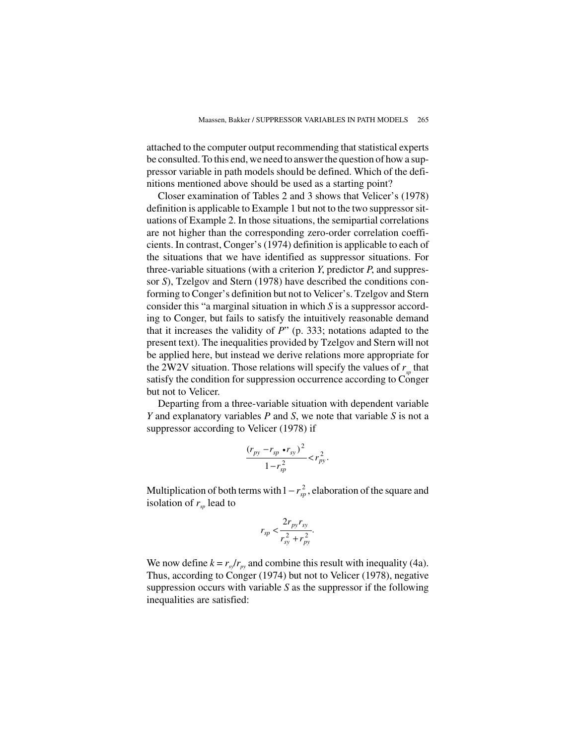attached to the computer output recommending that statistical experts be consulted. To this end, we need to answer the question of how a suppressor variable in path models should be defined. Which of the definitions mentioned above should be used as a starting point?

Closer examination of Tables 2 and 3 shows that Velicer's (1978) definition is applicable to Example 1 but not to the two suppressor situations of Example 2. In those situations, the semipartial correlations are not higher than the corresponding zero-order correlation coefficients. In contrast, Conger's (1974) definition is applicable to each of the situations that we have identified as suppressor situations. For three-variable situations (with a criterion *Y*, predictor *P*, and suppressor *S*), Tzelgov and Stern (1978) have described the conditions conforming to Conger's definition but not to Velicer's. Tzelgov and Stern consider this "a marginal situation in which *S* is a suppressor according to Conger, but fails to satisfy the intuitively reasonable demand that it increases the validity of *P*" (p. 333; notations adapted to the present text). The inequalities provided by Tzelgov and Stern will not be applied here, but instead we derive relations more appropriate for the 2W2V situation. Those relations will specify the values of  $r<sub>m</sub>$  that satisfy the condition for suppression occurrence according to Conger but not to Velicer.

Departing from a three-variable situation with dependent variable *Y* and explanatory variables *P* and *S*, we note that variable *S* is not a suppressor according to Velicer (1978) if

$$
\frac{(r_{py} - r_{sp} \cdot r_{sy})^2}{1 - r_{sp}^2} < r_{py}^2.
$$

Multiplication of both terms with  $1 - r_{sp}^2$ , elaboration of the square and isolation of  $r_{sp}$  lead to

$$
r_{sp} < \frac{2r_{py}r_{sy}}{r_{sy}^2 + r_{py}^2}.
$$

We now define  $k = r_{s}/r_{pv}$  and combine this result with inequality (4a). Thus, according to Conger (1974) but not to Velicer (1978), negative suppression occurs with variable *S* as the suppressor if the following inequalities are satisfied: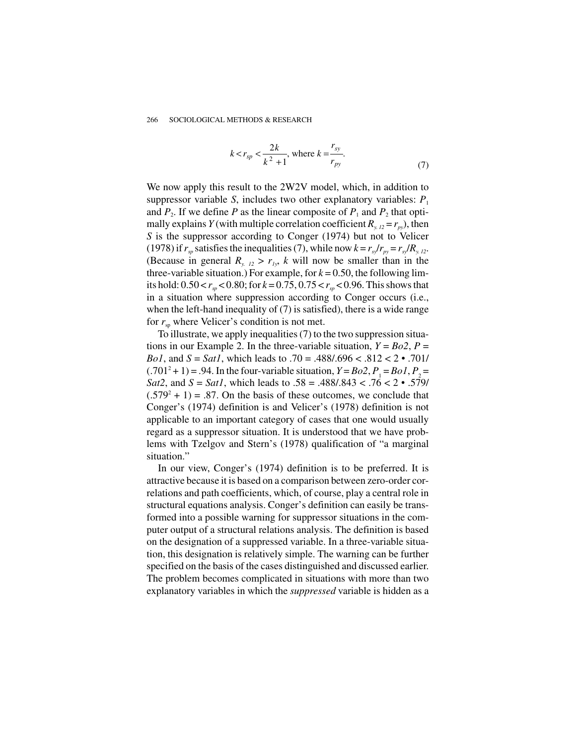$$
k < r_{sp} < \frac{2k}{k^2 + 1}
$$
, where  $k = \frac{r_{sy}}{r_{py}}$ . (7)

We now apply this result to the 2W2V model, which, in addition to suppressor variable *S*, includes two other explanatory variables:  $P_1$ and  $P_2$ . If we define *P* as the linear composite of  $P_1$  and  $P_2$  that optimally explains *Y* (with multiple correlation coefficient  $R_{y,12} = r_{py}$ ), then *S* is the suppressor according to Conger (1974) but not to Velicer (1978) if  $r_{sp}$  satisfies the inequalities (7), while now  $k = r_{sp}/r_{pv} = r_{sp}/R_{v}$ . 12. (Because in general  $R_{y_1/2} > r_{1y_2}$ , *k* will now be smaller than in the three-variable situation.) For example, for  $k = 0.50$ , the following limits hold:  $0.50 < r<sub>m</sub> < 0.80$ ; for  $k = 0.75$ ,  $0.75 < r<sub>m</sub> < 0.96$ . This shows that in a situation where suppression according to Conger occurs (i.e., when the left-hand inequality of (7) is satisfied), there is a wide range for  $r_{\rm sn}$  where Velicer's condition is not met.

To illustrate, we apply inequalities (7) to the two suppression situations in our Example 2. In the three-variable situation,  $Y = Bo2$ ,  $P =$ *Bo1*, and *S* = *Sat1*, which leads to .70 = .488/.696 < .812 < 2 • .701/  $(.701^2 + 1) = .94$ . In the four-variable situation,  $Y = Bo2$ ,  $P_1 = Bo1$ ,  $P_2 =$ *Sat2*, and *S* = *Sat1*, which leads to .58 = .488/.843 < .76 < 2 • .579/  $(.579<sup>2</sup> + 1) = .87$ . On the basis of these outcomes, we conclude that Conger's (1974) definition is and Velicer's (1978) definition is not applicable to an important category of cases that one would usually regard as a suppressor situation. It is understood that we have problems with Tzelgov and Stern's (1978) qualification of "a marginal situation."

In our view, Conger's (1974) definition is to be preferred. It is attractive because it is based on a comparison between zero-order correlations and path coefficients, which, of course, play a central role in structural equations analysis. Conger's definition can easily be transformed into a possible warning for suppressor situations in the computer output of a structural relations analysis. The definition is based on the designation of a suppressed variable. In a three-variable situation, this designation is relatively simple. The warning can be further specified on the basis of the cases distinguished and discussed earlier. The problem becomes complicated in situations with more than two explanatory variables in which the *suppressed* variable is hidden as a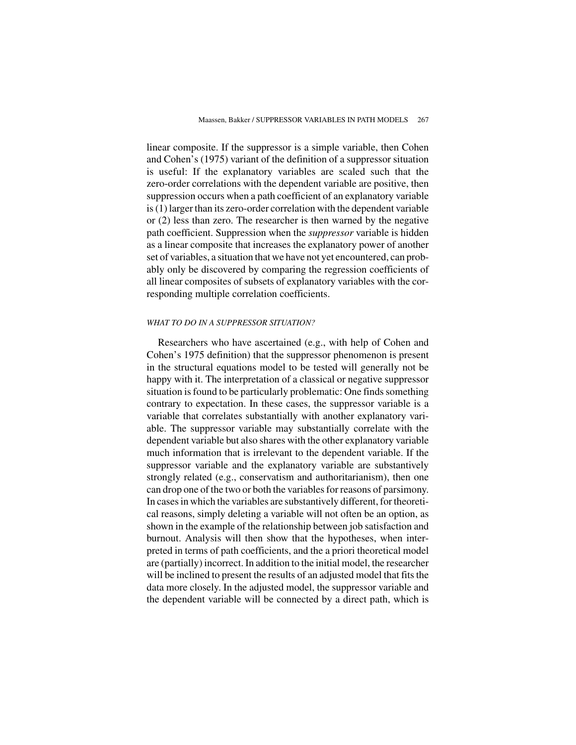linear composite. If the suppressor is a simple variable, then Cohen and Cohen's (1975) variant of the definition of a suppressor situation is useful: If the explanatory variables are scaled such that the zero-order correlations with the dependent variable are positive, then suppression occurs when a path coefficient of an explanatory variable is (1) larger than its zero-order correlation with the dependent variable or (2) less than zero. The researcher is then warned by the negative path coefficient. Suppression when the *suppressor* variable is hidden as a linear composite that increases the explanatory power of another set of variables, a situation that we have not yet encountered, can probably only be discovered by comparing the regression coefficients of all linear composites of subsets of explanatory variables with the corresponding multiple correlation coefficients.

#### *WHAT TO DO IN A SUPPRESSOR SITUATION?*

Researchers who have ascertained (e.g., with help of Cohen and Cohen's 1975 definition) that the suppressor phenomenon is present in the structural equations model to be tested will generally not be happy with it. The interpretation of a classical or negative suppressor situation is found to be particularly problematic: One finds something contrary to expectation. In these cases, the suppressor variable is a variable that correlates substantially with another explanatory variable. The suppressor variable may substantially correlate with the dependent variable but also shares with the other explanatory variable much information that is irrelevant to the dependent variable. If the suppressor variable and the explanatory variable are substantively strongly related (e.g., conservatism and authoritarianism), then one can drop one of the two or both the variables for reasons of parsimony. In cases in which the variables are substantively different, for theoretical reasons, simply deleting a variable will not often be an option, as shown in the example of the relationship between job satisfaction and burnout. Analysis will then show that the hypotheses, when interpreted in terms of path coefficients, and the a priori theoretical model are (partially) incorrect. In addition to the initial model, the researcher will be inclined to present the results of an adjusted model that fits the data more closely. In the adjusted model, the suppressor variable and the dependent variable will be connected by a direct path, which is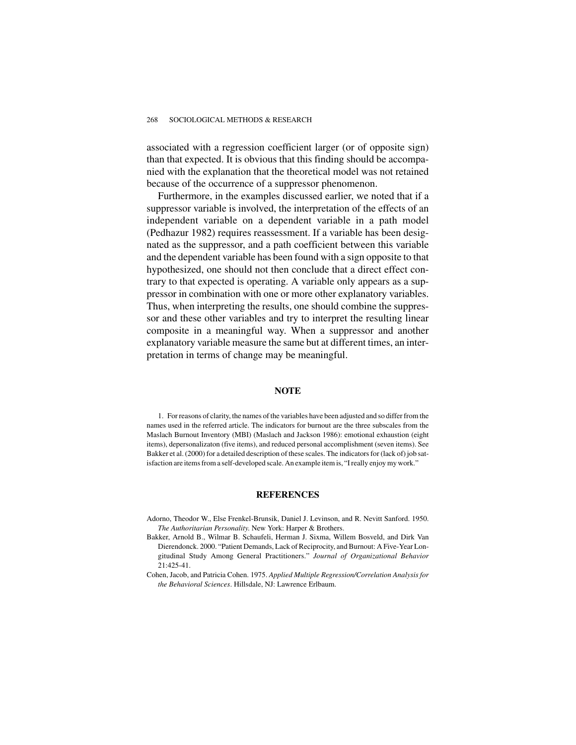associated with a regression coefficient larger (or of opposite sign) than that expected. It is obvious that this finding should be accompanied with the explanation that the theoretical model was not retained because of the occurrence of a suppressor phenomenon.

Furthermore, in the examples discussed earlier, we noted that if a suppressor variable is involved, the interpretation of the effects of an independent variable on a dependent variable in a path model (Pedhazur 1982) requires reassessment. If a variable has been designated as the suppressor, and a path coefficient between this variable and the dependent variable has been found with a sign opposite to that hypothesized, one should not then conclude that a direct effect contrary to that expected is operating. A variable only appears as a suppressor in combination with one or more other explanatory variables. Thus, when interpreting the results, one should combine the suppressor and these other variables and try to interpret the resulting linear composite in a meaningful way. When a suppressor and another explanatory variable measure the same but at different times, an interpretation in terms of change may be meaningful.

### **NOTE**

1. For reasons of clarity, the names of the variables have been adjusted and so differ from the names used in the referred article. The indicators for burnout are the three subscales from the Maslach Burnout Inventory (MBI) (Maslach and Jackson 1986): emotional exhaustion (eight items), depersonalizaton (five items), and reduced personal accomplishment (seven items). See Bakker et al. (2000) for a detailed description of these scales. The indicators for (lack of) job satisfaction are items from a self-developed scale. An example item is, "I really enjoy my work."

### **REFERENCES**

- Adorno, Theodor W., Else Frenkel-Brunsik, Daniel J. Levinson, and R. Nevitt Sanford. 1950. *The Authoritarian Personality*. New York: Harper & Brothers.
- Bakker, Arnold B., Wilmar B. Schaufeli, Herman J. Sixma, Willem Bosveld, and Dirk Van Dierendonck. 2000. "Patient Demands, Lack of Reciprocity, and Burnout: A Five-Year Longitudinal Study Among General Practitioners." *Journal of Organizational Behavior* 21:425-41.
- Cohen, Jacob, and Patricia Cohen. 1975. *Applied Multiple Regression/Correlation Analysis for the Behavioral Sciences*. Hillsdale, NJ: Lawrence Erlbaum.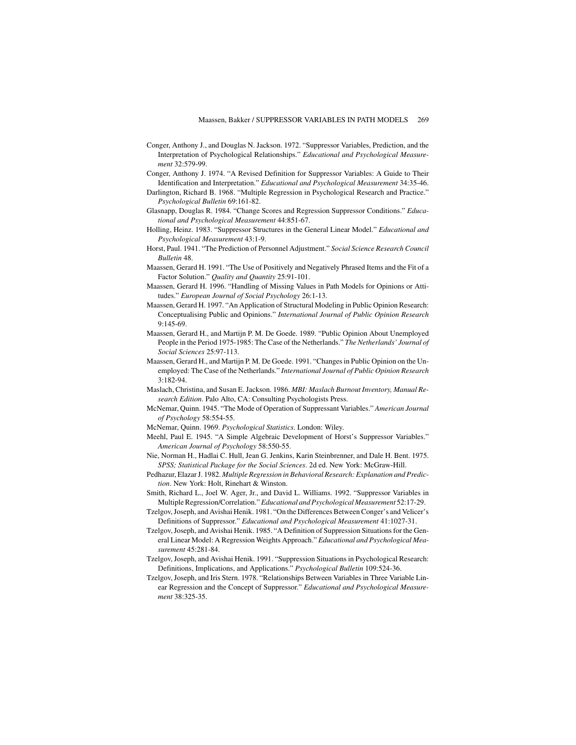- Conger, Anthony J., and Douglas N. Jackson. 1972. "Suppressor Variables, Prediction, and the Interpretation of Psychological Relationships." *Educational and Psychological Measurement* 32:579-99.
- Conger, Anthony J. 1974. "A Revised Definition for Suppressor Variables: A Guide to Their Identification and Interpretation." *Educational and Psychological Measurement* 34:35-46.
- Darlington, Richard B. 1968. "Multiple Regression in Psychological Research and Practice." *Psychological Bulletin* 69:161-82.
- Glasnapp, Douglas R. 1984. "Change Scores and Regression Suppressor Conditions." *Educational and Psychological Measurement* 44:851-67.
- Holling, Heinz. 1983. "Suppressor Structures in the General Linear Model." *Educational and Psychological Measurement* 43:1-9.
- Horst, Paul. 1941. "The Prediction of Personnel Adjustment." *Social Science Research Council Bulletin* 48.
- Maassen, Gerard H. 1991. "The Use of Positively and Negatively Phrased Items and the Fit of a Factor Solution." *Quality and Quantity* 25:91-101.
- Maassen, Gerard H. 1996. "Handling of Missing Values in Path Models for Opinions or Attitudes." *European Journal of Social Psychology* 26:1-13.
- Maassen, Gerard H. 1997. "An Application of Structural Modeling in Public Opinion Research: Conceptualising Public and Opinions." *International Journal of Public Opinion Research* 9:145-69.
- Maassen, Gerard H., and Martijn P. M. De Goede. 1989. "Public Opinion About Unemployed People in the Period 1975-1985: The Case of the Netherlands." *The Netherlands' Journal of Social Sciences* 25:97-113.
- Maassen, Gerard H., and Martijn P. M. De Goede. 1991. "Changes in Public Opinion on the Unemployed: The Case of the Netherlands." *International Journal of Public Opinion Research* 3:182-94.
- Maslach, Christina, and Susan E. Jackson. 1986. *MBI: Maslach Burnout Inventory, Manual Research Edition*. Palo Alto, CA: Consulting Psychologists Press.
- McNemar, Quinn. 1945. "The Mode of Operation of Suppressant Variables." *American Journal of Psychology* 58:554-55.
- McNemar, Quinn. 1969. *Psychological Statistics*. London: Wiley.
- Meehl, Paul E. 1945. "A Simple Algebraic Development of Horst's Suppressor Variables." *American Journal of Psychology* 58:550-55.
- Nie, Norman H., Hadlai C. Hull, Jean G. Jenkins, Karin Steinbrenner, and Dale H. Bent. 1975. *SPSS; Statistical Package for the Social Sciences*. 2d ed. New York: McGraw-Hill.
- Pedhazur, Elazar J. 1982. *Multiple Regression in Behavioral Research: Explanation and Prediction*. New York: Holt, Rinehart & Winston.
- Smith, Richard L., Joel W. Ager, Jr., and David L. Williams. 1992. "Suppressor Variables in Multiple Regression/Correlation."*Educational and Psychological Measurement* 52:17-29.
- Tzelgov, Joseph, and Avishai Henik. 1981. "On the Differences Between Conger's and Velicer's Definitions of Suppressor." *Educational and Psychological Measurement* 41:1027-31.
- Tzelgov, Joseph, and Avishai Henik. 1985. "A Definition of Suppression Situations for the General Linear Model: A Regression Weights Approach." *Educational and Psychological Measurement* 45:281-84.
- Tzelgov, Joseph, and Avishai Henik. 1991. "Suppression Situations in Psychological Research: Definitions, Implications, and Applications." *Psychological Bulletin* 109:524-36.
- Tzelgov, Joseph, and Iris Stern. 1978. "Relationships Between Variables in Three Variable Linear Regression and the Concept of Suppressor." *Educational and Psychological Measurement* 38:325-35.